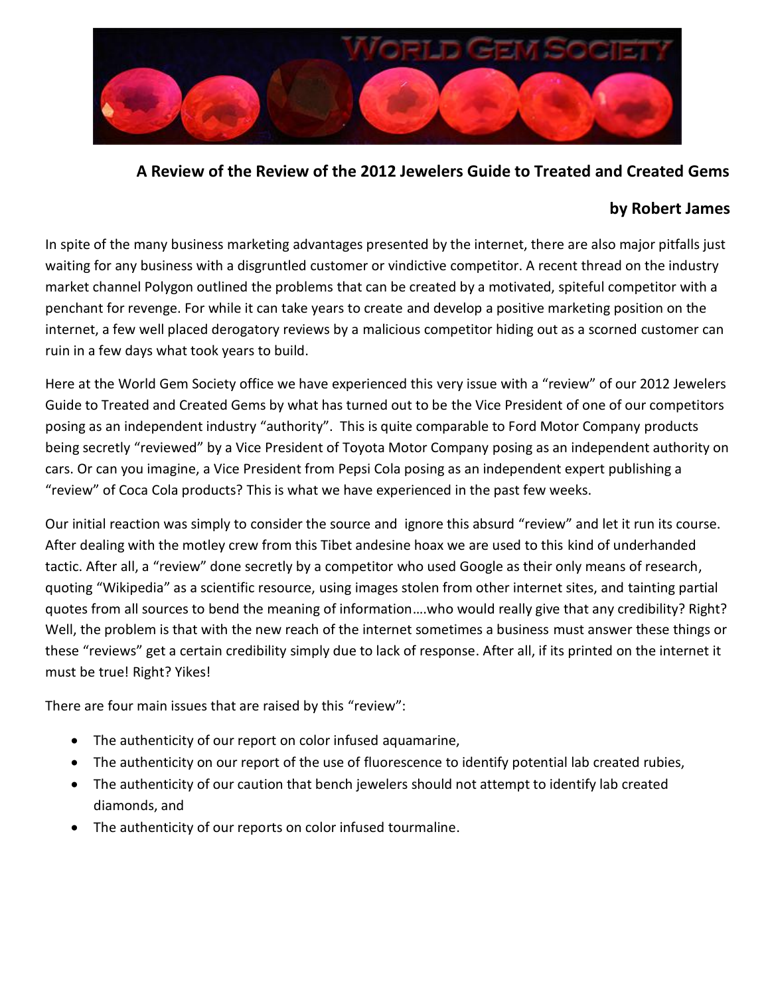

**A Review of the Review of the 2012 Jewelers Guide to Treated and Created Gems** 

# **by Robert James**

In spite of the many business marketing advantages presented by the internet, there are also major pitfalls just waiting for any business with a disgruntled customer or vindictive competitor. A recent thread on the industry market channel Polygon outlined the problems that can be created by a motivated, spiteful competitor with a penchant for revenge. For while it can take years to create and develop a positive marketing position on the internet, a few well placed derogatory reviews by a malicious competitor hiding out as a scorned customer can ruin in a few days what took years to build.

Here at the World Gem Society office we have experienced this very issue with a "review" of our 2012 Jewelers Guide to Treated and Created Gems by what has turned out to be the Vice President of one of our competitors posing as an independent industry "authority". This is quite comparable to Ford Motor Company products being secretly "reviewed" by a Vice President of Toyota Motor Company posing as an independent authority on cars. Or can you imagine, a Vice President from Pepsi Cola posing as an independent expert publishing a "review" of Coca Cola products? This is what we have experienced in the past few weeks.

Our initial reaction was simply to consider the source and ignore this absurd "review" and let it run its course. After dealing with the motley crew from this Tibet andesine hoax we are used to this kind of underhanded tactic. After all, a "review" done secretly by a competitor who used Google as their only means of research, quoting "Wikipedia" as a scientific resource, using images stolen from other internet sites, and tainting partial quotes from all sources to bend the meaning of information….who would really give that any credibility? Right? Well, the problem is that with the new reach of the internet sometimes a business must answer these things or these "reviews" get a certain credibility simply due to lack of response. After all, if its printed on the internet it must be true! Right? Yikes!

There are four main issues that are raised by this "review":

- The authenticity of our report on color infused aquamarine,
- The authenticity on our report of the use of fluorescence to identify potential lab created rubies,
- The authenticity of our caution that bench jewelers should not attempt to identify lab created diamonds, and
- The authenticity of our reports on color infused tourmaline.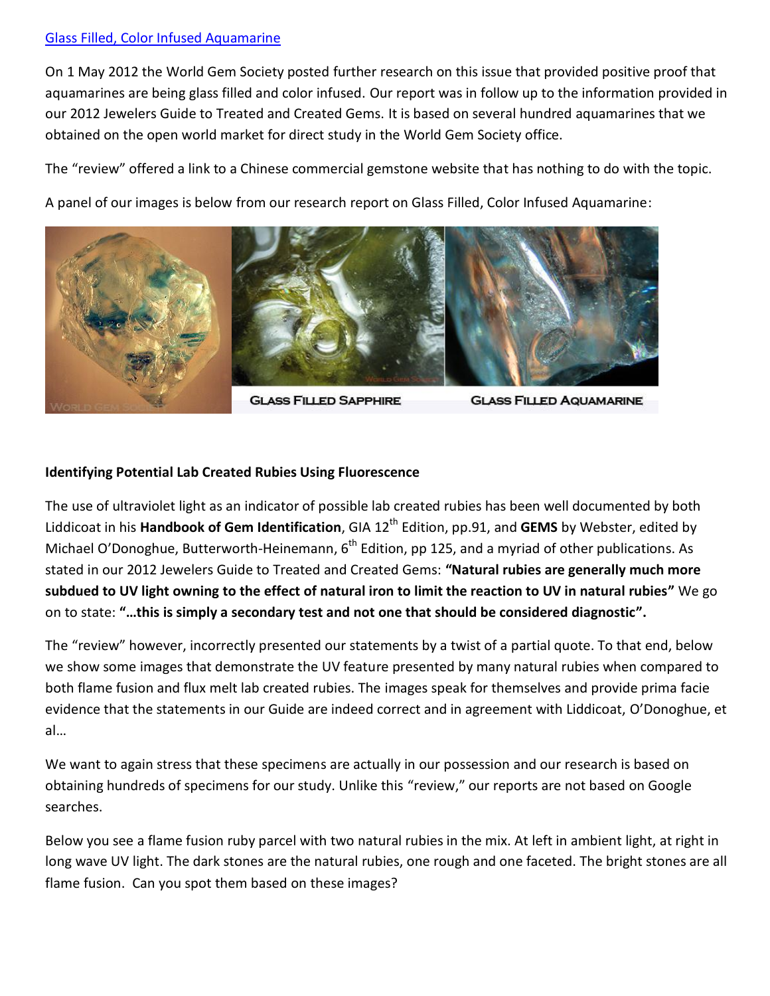## [Glass Filled, Color Infused Aquamarine](http://www.worldgemsociety.org/WorldGemSocietyGlassFilledAquamarine.pdf)

On 1 May 2012 the World Gem Society posted further research on this issue that provided positive proof that aquamarines are being glass filled and color infused. Our report was in follow up to the information provided in our 2012 Jewelers Guide to Treated and Created Gems. It is based on several hundred aquamarines that we obtained on the open world market for direct study in the World Gem Society office.

The "review" offered a link to a Chinese commercial gemstone website that has nothing to do with the topic.

A panel of our images is below from our research report on Glass Filled, Color Infused Aquamarine:



**GLASS FILLED SAPPHIRE** 

**GLASS FILLED AQUAMARINE** 

# **Identifying Potential Lab Created Rubies Using Fluorescence**

The use of ultraviolet light as an indicator of possible lab created rubies has been well documented by both Liddicoat in his **Handbook of Gem Identification**, GIA 12<sup>th</sup> Edition, pp.91, and **GEMS** by Webster, edited by Michael O'Donoghue, Butterworth-Heinemann, 6<sup>th</sup> Edition, pp 125, and a myriad of other publications. As stated in our 2012 Jewelers Guide to Treated and Created Gems: **"Natural rubies are generally much more subdued to UV light owning to the effect of natural iron to limit the reaction to UV in natural rubies"** We go on to state: **"…this is simply a secondary test and not one that should be considered diagnostic".**

The "review" however, incorrectly presented our statements by a twist of a partial quote. To that end, below we show some images that demonstrate the UV feature presented by many natural rubies when compared to both flame fusion and flux melt lab created rubies. The images speak for themselves and provide prima facie evidence that the statements in our Guide are indeed correct and in agreement with Liddicoat, O'Donoghue, et al…

We want to again stress that these specimens are actually in our possession and our research is based on obtaining hundreds of specimens for our study. Unlike this "review," our reports are not based on Google searches.

Below you see a flame fusion ruby parcel with two natural rubies in the mix. At left in ambient light, at right in long wave UV light. The dark stones are the natural rubies, one rough and one faceted. The bright stones are all flame fusion. Can you spot them based on these images?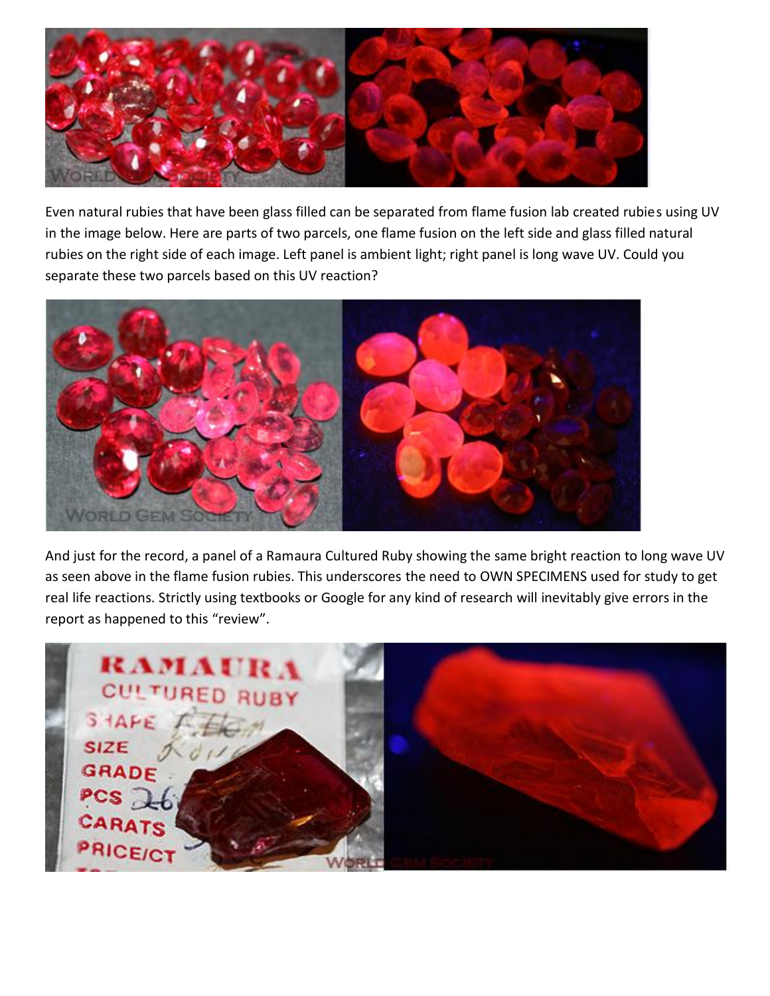

Even natural rubies that have been glass filled can be separated from flame fusion lab created rubies using UV in the image below. Here are parts of two parcels, one flame fusion on the left side and glass filled natural rubies on the right side of each image. Left panel is ambient light; right panel is long wave UV. Could you separate these two parcels based on this UV reaction?



And just for the record, a panel of a Ramaura Cultured Ruby showing the same bright reaction to long wave UV as seen above in the flame fusion rubies. This underscores the need to OWN SPECIMENS used for study to get real life reactions. Strictly using textbooks or Google for any kind of research will inevitably give errors in the report as happened to this "review".

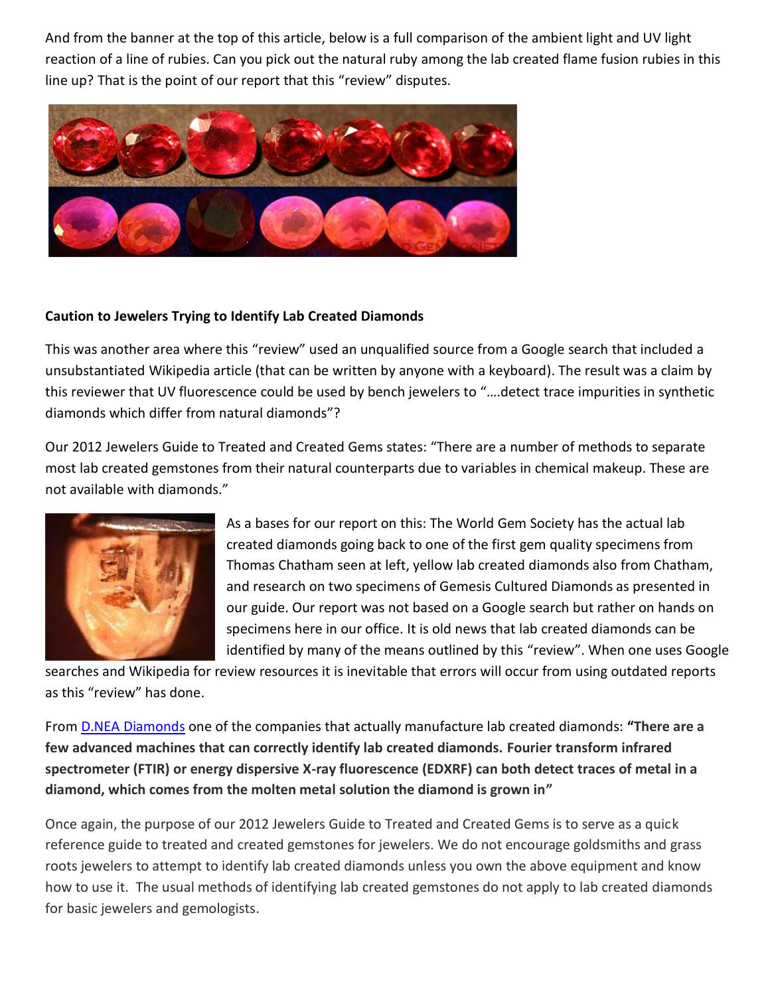And from the banner at the top of this article, below is a full comparison of the ambient light and UV light reaction of a line of rubies. Can you pick out the natural ruby among the lab created flame fusion rubies in this line up? That is the point of our report that this "review" disputes.



#### **Caution to Jewelers Trying to Identify Lab Created Diamonds**

This was another area where this "review" used an unqualified source from a Google search that included a unsubstantiated Wikipedia article (that can be written by anyone with a keyboard). The result was a claim by this reviewer that UV fluorescence could be used by bench jewelers to "….detect trace impurities in synthetic diamonds which differ from natural diamonds"?

Our 2012 Jewelers Guide to Treated and Created Gems states: "There are a number of methods to separate most lab created gemstones from their natural counterparts due to variables in chemical makeup. These are not available with diamonds."



As a bases for our report on this: The World Gem Society has the actual lab created diamonds going back to one of the first gem quality specimens from Thomas Chatham seen at left, yellow lab created diamonds also from Chatham, and research on two specimens of Gemesis Cultured Diamonds as presented in our guide. Our report was not based on a Google search but rather on hands on specimens here in our office. It is old news that lab created diamonds can be identified by many of the means outlined by this "review". When one uses Google

searches and Wikipedia for review resources it is inevitable that errors will occur from using outdated reports as this "review" has done.

From D.NEA [Diamonds](http://d.neadiamonds.com/identify-a-created-diamond) one of the companies that actually manufacture lab created diamonds: **"There are a few advanced machines that can correctly identify lab created diamonds. Fourier transform infrared spectrometer (FTIR) or energy dispersive X-ray fluorescence (EDXRF) can both detect traces of metal in a diamond, which comes from the molten metal solution the diamond is grown in"**

Once again, the purpose of our 2012 Jewelers Guide to Treated and Created Gems is to serve as a quick reference guide to treated and created gemstones for jewelers. We do not encourage goldsmiths and grass roots jewelers to attempt to identify lab created diamonds unless you own the above equipment and know how to use it. The usual methods of identifying lab created gemstones do not apply to lab created diamonds for basic jewelers and gemologists.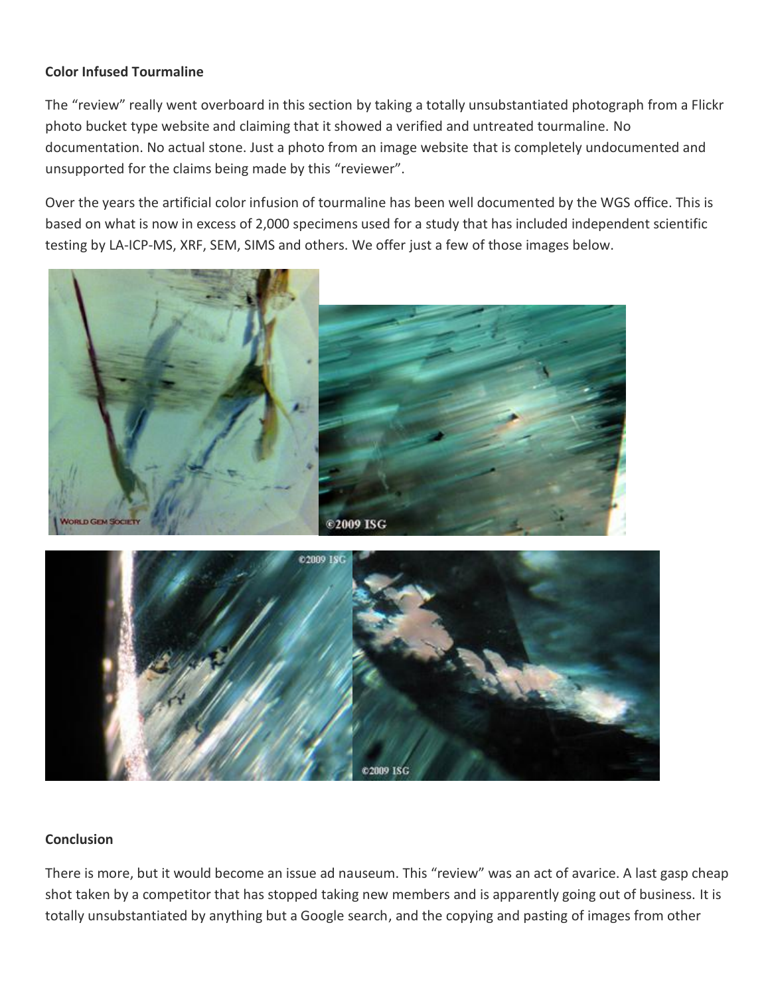## **Color Infused Tourmaline**

The "review" really went overboard in this section by taking a totally unsubstantiated photograph from a Flickr photo bucket type website and claiming that it showed a verified and untreated tourmaline. No documentation. No actual stone. Just a photo from an image website that is completely undocumented and unsupported for the claims being made by this "reviewer".

Over the years the artificial color infusion of tourmaline has been well documented by the WGS office. This is based on what is now in excess of 2,000 specimens used for a study that has included independent scientific testing by LA-ICP-MS, XRF, SEM, SIMS and others. We offer just a few of those images below.





#### **Conclusion**

There is more, but it would become an issue ad nauseum. This "review" was an act of avarice. A last gasp cheap shot taken by a competitor that has stopped taking new members and is apparently going out of business. It is totally unsubstantiated by anything but a Google search, and the copying and pasting of images from other